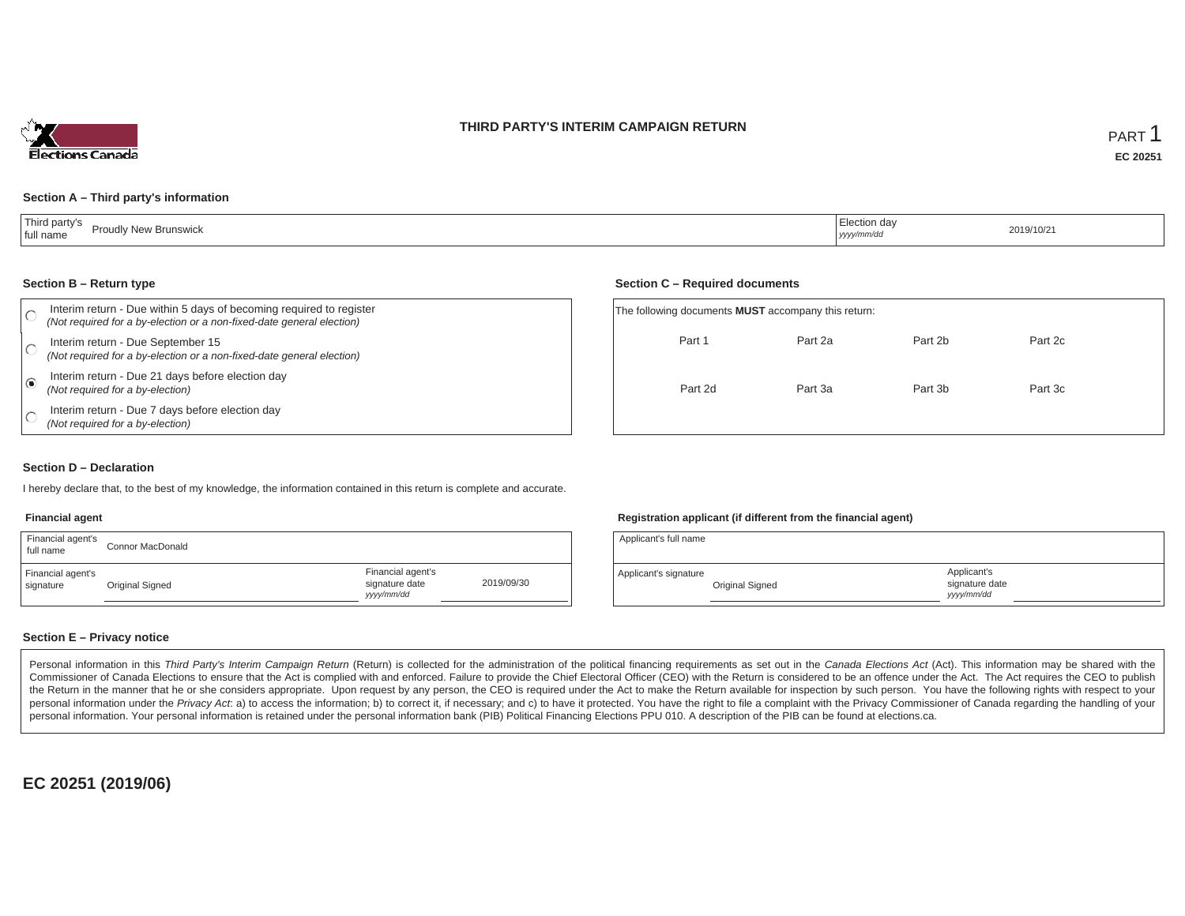



### **Section A – Third party's information**

| .<br><b>Proudly New Brunswick</b><br>full name | Election day<br>yyyy/mm/dd | 2019/10/21 |
|------------------------------------------------|----------------------------|------------|
|------------------------------------------------|----------------------------|------------|

#### **Section B – Return type**

|            | Interim return - Due within 5 days of becoming required to register<br>(Not required for a by-election or a non-fixed-date general election) | The following documents <b>MUST</b> accompany this return: |         |         |         |
|------------|----------------------------------------------------------------------------------------------------------------------------------------------|------------------------------------------------------------|---------|---------|---------|
|            | Interim return - Due September 15<br>(Not required for a by-election or a non-fixed-date general election)                                   | Part 1                                                     | Part 2a | Part 2b | Part 2c |
| $\epsilon$ | Interim return - Due 21 days before election day<br>(Not required for a by-election)                                                         | Part 2d                                                    | Part 3a | Part 3b | Part 3c |
|            | Interim return - Due 7 days before election day<br>(Not required for a by-election)                                                          |                                                            |         |         |         |

#### **Section D – Declaration**

I hereby declare that, to the best of my knowledge, the information contained in this return is complete and accurate.

### **Financial agent**

| Financial agent's<br>full name | Connor MacDonald |                                                  |            |
|--------------------------------|------------------|--------------------------------------------------|------------|
| Financial agent's<br>signature | Original Signed  | Financial agent's<br>signature date<br>vyy/mm/dd | 2019/09/30 |

#### **Registration applicant (if different from the financial agent)**

| Applicant's full name |                 |                                             |  |
|-----------------------|-----------------|---------------------------------------------|--|
| Applicant's signature | Original Signed | Applicant's<br>signature date<br>vyyy/mm/dd |  |

### **Section E – Privacy notice**

Personal information in this Third Party's Interim Campaign Return (Return) is collected for the administration of the political financing requirements as set out in the Canada Elections Act (Act). This information may be Commissioner of Canada Elections to ensure that the Act is complied with and enforced. Failure to provide the Chief Electoral Officer (CEO) with the Return is considered to be an offence under the Act. The Act requires the the Return in the manner that he or she considers appropriate. Upon request by any person, the CEO is required under the Act to make the Return available for inspection by such person. You have the following rights with re personal information under the Privacy Act. a) to access the information; b) to correct it, if necessary; and c) to have it protected. You have the right to file a complaint with the Privacy Commissioner of Canada regardin personal information. Your personal information is retained under the personal information bank (PIB) Political Financing Elections PPU 010. A description of the PIB can be found at elections.ca.

**EC 20251 (2019/06)**

### **Section C – Required documents**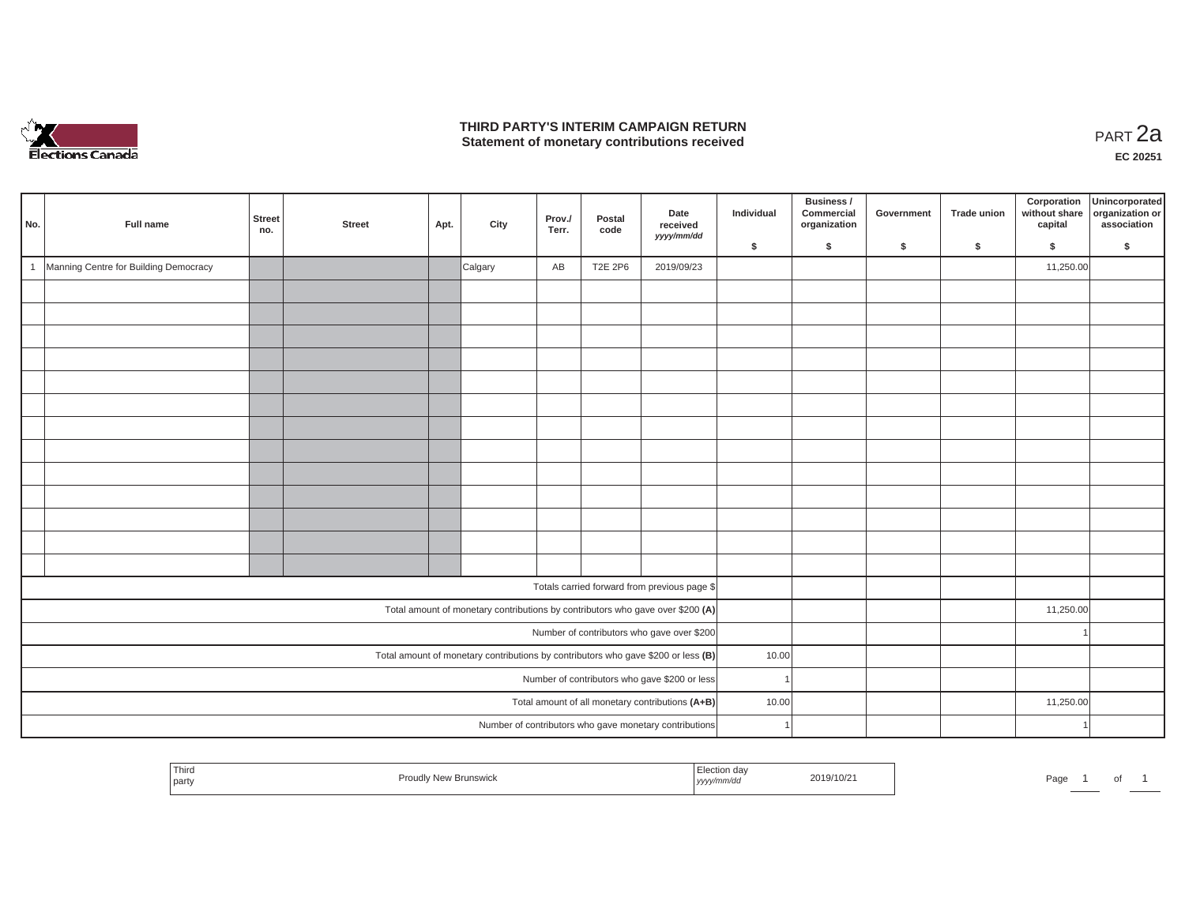

## **THIRD PARTY'S INTERIM CAMPAIGN RETURN THIRD PARTY'S INTERIM CAMPAIGN RETURN<br>Statement of monetary contributions received PART 2a**

| No. | Full name                                                                           | Street<br>no. | <b>Street</b> | Apt. | City    | Prov./<br>Terr. | Postal<br>code | Date<br>received<br>yyyy/mm/dd                                                 | Individual | Business /<br>Commercial<br>organization<br>\$ | Government | <b>Trade union</b><br>$\mathsf{s}$ | Corporation<br>without share<br>capital<br>\$ | Unincorporated<br>organization or<br>association<br>\$ |
|-----|-------------------------------------------------------------------------------------|---------------|---------------|------|---------|-----------------|----------------|--------------------------------------------------------------------------------|------------|------------------------------------------------|------------|------------------------------------|-----------------------------------------------|--------------------------------------------------------|
|     |                                                                                     |               |               |      |         |                 |                |                                                                                | \$         |                                                | \$         |                                    |                                               |                                                        |
| -1  | Manning Centre for Building Democracy                                               |               |               |      | Calgary | AB              | <b>T2E 2P6</b> | 2019/09/23                                                                     |            |                                                |            |                                    | 11,250.00                                     |                                                        |
|     |                                                                                     |               |               |      |         |                 |                |                                                                                |            |                                                |            |                                    |                                               |                                                        |
|     |                                                                                     |               |               |      |         |                 |                |                                                                                |            |                                                |            |                                    |                                               |                                                        |
|     |                                                                                     |               |               |      |         |                 |                |                                                                                |            |                                                |            |                                    |                                               |                                                        |
|     |                                                                                     |               |               |      |         |                 |                |                                                                                |            |                                                |            |                                    |                                               |                                                        |
|     |                                                                                     |               |               |      |         |                 |                |                                                                                |            |                                                |            |                                    |                                               |                                                        |
|     |                                                                                     |               |               |      |         |                 |                |                                                                                |            |                                                |            |                                    |                                               |                                                        |
|     |                                                                                     |               |               |      |         |                 |                |                                                                                |            |                                                |            |                                    |                                               |                                                        |
|     |                                                                                     |               |               |      |         |                 |                |                                                                                |            |                                                |            |                                    |                                               |                                                        |
|     |                                                                                     |               |               |      |         |                 |                |                                                                                |            |                                                |            |                                    |                                               |                                                        |
|     |                                                                                     |               |               |      |         |                 |                |                                                                                |            |                                                |            |                                    |                                               |                                                        |
|     |                                                                                     |               |               |      |         |                 |                |                                                                                |            |                                                |            |                                    |                                               |                                                        |
|     |                                                                                     |               |               |      |         |                 |                |                                                                                |            |                                                |            |                                    |                                               |                                                        |
|     |                                                                                     |               |               |      |         |                 |                |                                                                                |            |                                                |            |                                    |                                               |                                                        |
|     |                                                                                     |               |               |      |         |                 |                | Totals carried forward from previous page \$                                   |            |                                                |            |                                    |                                               |                                                        |
|     |                                                                                     |               |               |      |         |                 |                | Total amount of monetary contributions by contributors who gave over \$200 (A) |            |                                                |            |                                    | 11,250.00                                     |                                                        |
|     | Number of contributors who gave over \$200                                          |               |               |      |         |                 |                |                                                                                |            |                                                |            |                                    |                                               |                                                        |
|     | Total amount of monetary contributions by contributors who gave \$200 or less $(B)$ |               |               |      |         |                 |                |                                                                                | 10.00      |                                                |            |                                    |                                               |                                                        |
|     | Number of contributors who gave \$200 or less                                       |               |               |      |         |                 |                |                                                                                |            |                                                |            |                                    |                                               |                                                        |
|     |                                                                                     |               |               |      |         |                 |                | Total amount of all monetary contributions (A+B)                               | 10.00      |                                                |            |                                    | 11,250.00                                     |                                                        |
|     |                                                                                     |               |               |      |         |                 |                | Number of contributors who gave monetary contributions                         |            |                                                |            |                                    |                                               |                                                        |

| Thiro<br>the contract of the con-<br>party | v New Brunswick<br>тон | 'im/ac<br>, уууулт | 2019/10/2 | Pag⊾ | וש |  |
|--------------------------------------------|------------------------|--------------------|-----------|------|----|--|
|                                            |                        |                    |           |      |    |  |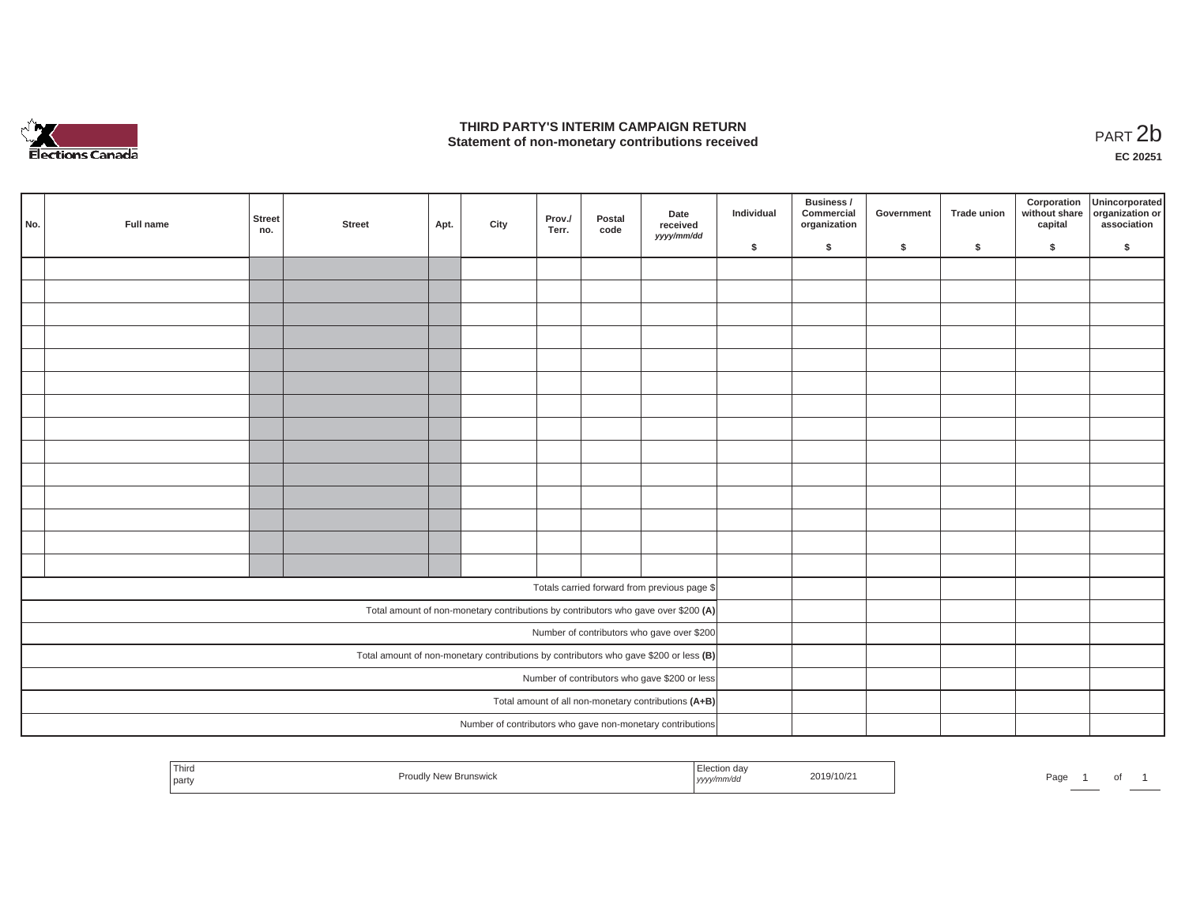

## **THIRD PARTY'S INTERIM CAMPAIGN RETURN**  THIRD PARTY'S INTERIM CAMPAIGN RETURN<br>Statement of non-monetary contributions received<br>**PART 2**b

**EC 20251**

| No.                                                                                   | Full name | Street<br>no. | <b>Street</b> | Apt. | City | Prov./<br>Terr. | Postal<br>code | Date<br>received<br>yyyy/mm/dd                             | Individual | Business /<br>Commercial<br>organization | Government | Trade union | Corporation<br>capital | Unincorporated<br>without share organization or<br>association |
|---------------------------------------------------------------------------------------|-----------|---------------|---------------|------|------|-----------------|----------------|------------------------------------------------------------|------------|------------------------------------------|------------|-------------|------------------------|----------------------------------------------------------------|
|                                                                                       |           |               |               |      |      |                 |                |                                                            | \$         | $\mathsf{s}$                             | \$         | $\sqrt{2}$  | \$                     | \$                                                             |
|                                                                                       |           |               |               |      |      |                 |                |                                                            |            |                                          |            |             |                        |                                                                |
|                                                                                       |           |               |               |      |      |                 |                |                                                            |            |                                          |            |             |                        |                                                                |
|                                                                                       |           |               |               |      |      |                 |                |                                                            |            |                                          |            |             |                        |                                                                |
|                                                                                       |           |               |               |      |      |                 |                |                                                            |            |                                          |            |             |                        |                                                                |
|                                                                                       |           |               |               |      |      |                 |                |                                                            |            |                                          |            |             |                        |                                                                |
|                                                                                       |           |               |               |      |      |                 |                |                                                            |            |                                          |            |             |                        |                                                                |
|                                                                                       |           |               |               |      |      |                 |                |                                                            |            |                                          |            |             |                        |                                                                |
|                                                                                       |           |               |               |      |      |                 |                |                                                            |            |                                          |            |             |                        |                                                                |
|                                                                                       |           |               |               |      |      |                 |                |                                                            |            |                                          |            |             |                        |                                                                |
|                                                                                       |           |               |               |      |      |                 |                |                                                            |            |                                          |            |             |                        |                                                                |
|                                                                                       |           |               |               |      |      |                 |                |                                                            |            |                                          |            |             |                        |                                                                |
|                                                                                       |           |               |               |      |      |                 |                |                                                            |            |                                          |            |             |                        |                                                                |
|                                                                                       |           |               |               |      |      |                 |                |                                                            |            |                                          |            |             |                        |                                                                |
|                                                                                       |           |               |               |      |      |                 |                |                                                            |            |                                          |            |             |                        |                                                                |
|                                                                                       |           |               |               |      |      |                 |                |                                                            |            |                                          |            |             |                        |                                                                |
|                                                                                       |           |               |               |      |      |                 |                | Totals carried forward from previous page \$               |            |                                          |            |             |                        |                                                                |
| Total amount of non-monetary contributions by contributors who gave over \$200 (A)    |           |               |               |      |      |                 |                |                                                            |            |                                          |            |             |                        |                                                                |
| Number of contributors who gave over \$200                                            |           |               |               |      |      |                 |                |                                                            |            |                                          |            |             |                        |                                                                |
| Total amount of non-monetary contributions by contributors who gave \$200 or less (B) |           |               |               |      |      |                 |                |                                                            |            |                                          |            |             |                        |                                                                |
| Number of contributors who gave \$200 or less                                         |           |               |               |      |      |                 |                |                                                            |            |                                          |            |             |                        |                                                                |
|                                                                                       |           |               |               |      |      |                 |                | Total amount of all non-monetary contributions (A+B)       |            |                                          |            |             |                        |                                                                |
|                                                                                       |           |               |               |      |      |                 |                | Number of contributors who gave non-monetary contributions |            |                                          |            |             |                        |                                                                |
|                                                                                       |           |               |               |      |      |                 |                |                                                            |            |                                          |            |             |                        |                                                                |

|  | Third<br>party | Brunswick<br>nouu | ⊨lection da∖<br>'mm/a<br>.<br>17777 | 2019/10/2 | Pag |  | וש |  |
|--|----------------|-------------------|-------------------------------------|-----------|-----|--|----|--|
|--|----------------|-------------------|-------------------------------------|-----------|-----|--|----|--|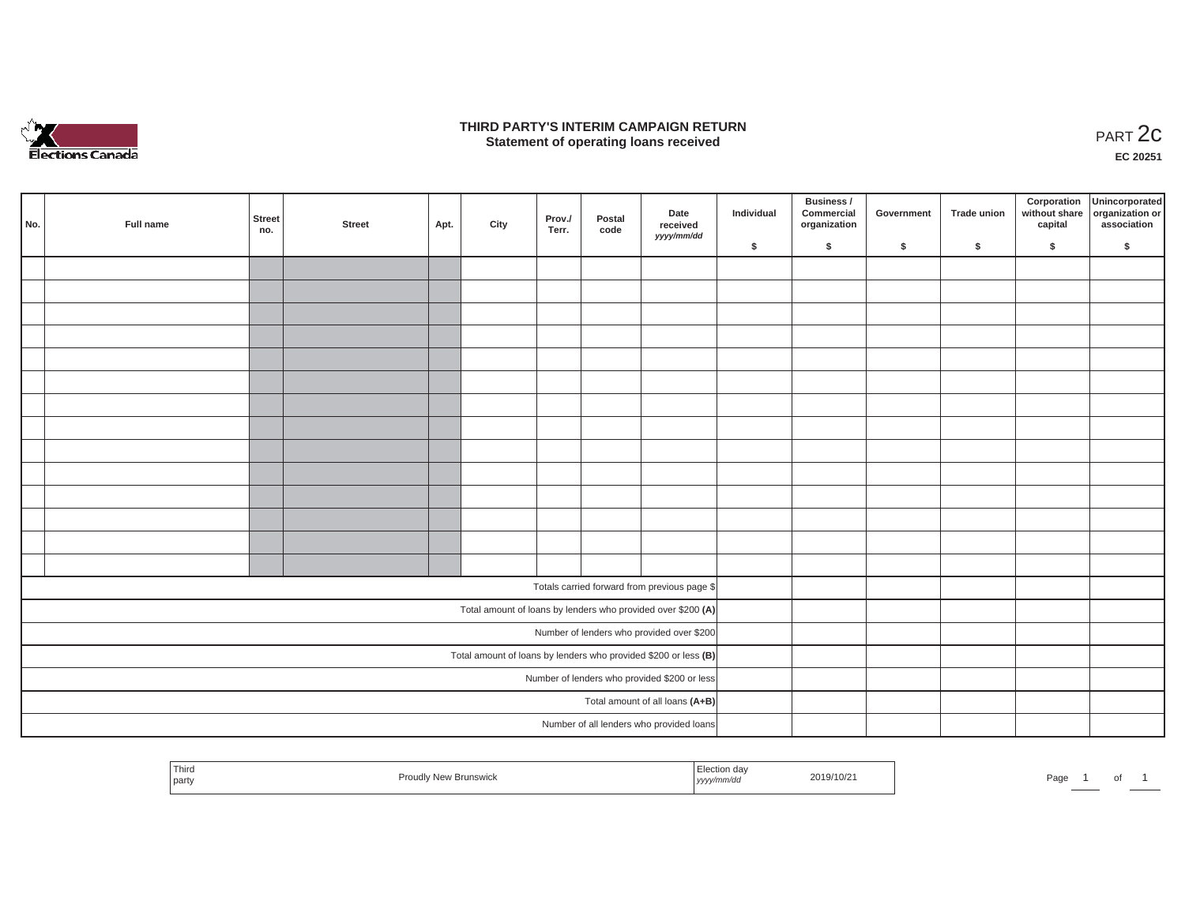

### **THIRD PARTY'S INTERIM CAMPAIGN RETURN**  RD PARTY'S INTERIM CAMPAIGN RETURN<br>Statement of operating loans received **PART 2c**

**EC 20251**

|     |                                                                 |               |        |      |      |                 |                |                                                              |            | Business /                 |            |             |         | Corporation Unincorporated<br>without share organization or |
|-----|-----------------------------------------------------------------|---------------|--------|------|------|-----------------|----------------|--------------------------------------------------------------|------------|----------------------------|------------|-------------|---------|-------------------------------------------------------------|
| No. | Full name                                                       | Street<br>no. | Street | Apt. | City | Prov./<br>Terr. | Postal<br>code | Date<br>received                                             | Individual | Commercial<br>organization | Government | Trade union | capital | association                                                 |
|     |                                                                 |               |        |      |      |                 |                | yyyy/mm/dd                                                   | \$         | $\sqrt{2}$                 | \$         | $\sqrt{2}$  | \$      | \$                                                          |
|     |                                                                 |               |        |      |      |                 |                |                                                              |            |                            |            |             |         |                                                             |
|     |                                                                 |               |        |      |      |                 |                |                                                              |            |                            |            |             |         |                                                             |
|     |                                                                 |               |        |      |      |                 |                |                                                              |            |                            |            |             |         |                                                             |
|     |                                                                 |               |        |      |      |                 |                |                                                              |            |                            |            |             |         |                                                             |
|     |                                                                 |               |        |      |      |                 |                |                                                              |            |                            |            |             |         |                                                             |
|     |                                                                 |               |        |      |      |                 |                |                                                              |            |                            |            |             |         |                                                             |
|     |                                                                 |               |        |      |      |                 |                |                                                              |            |                            |            |             |         |                                                             |
|     |                                                                 |               |        |      |      |                 |                |                                                              |            |                            |            |             |         |                                                             |
|     |                                                                 |               |        |      |      |                 |                |                                                              |            |                            |            |             |         |                                                             |
|     |                                                                 |               |        |      |      |                 |                |                                                              |            |                            |            |             |         |                                                             |
|     |                                                                 |               |        |      |      |                 |                |                                                              |            |                            |            |             |         |                                                             |
|     |                                                                 |               |        |      |      |                 |                |                                                              |            |                            |            |             |         |                                                             |
|     |                                                                 |               |        |      |      |                 |                |                                                              |            |                            |            |             |         |                                                             |
|     |                                                                 |               |        |      |      |                 |                |                                                              |            |                            |            |             |         |                                                             |
|     |                                                                 |               |        |      |      |                 |                | Totals carried forward from previous page \$                 |            |                            |            |             |         |                                                             |
|     |                                                                 |               |        |      |      |                 |                | Total amount of loans by lenders who provided over \$200 (A) |            |                            |            |             |         |                                                             |
|     | Number of lenders who provided over \$200                       |               |        |      |      |                 |                |                                                              |            |                            |            |             |         |                                                             |
|     | Total amount of loans by lenders who provided \$200 or less (B) |               |        |      |      |                 |                |                                                              |            |                            |            |             |         |                                                             |
|     | Number of lenders who provided \$200 or less                    |               |        |      |      |                 |                |                                                              |            |                            |            |             |         |                                                             |
|     |                                                                 |               |        |      |      |                 |                | Total amount of all loans (A+B)                              |            |                            |            |             |         |                                                             |
|     |                                                                 |               |        |      |      |                 |                | Number of all lenders who provided loans                     |            |                            |            |             |         |                                                             |

| 2019/10/21<br><b>Proudly New Brunswick</b><br>Page<br>.<br><sub>i</sub> yyyy/mm/dd<br>party<br> |
|-------------------------------------------------------------------------------------------------|
|-------------------------------------------------------------------------------------------------|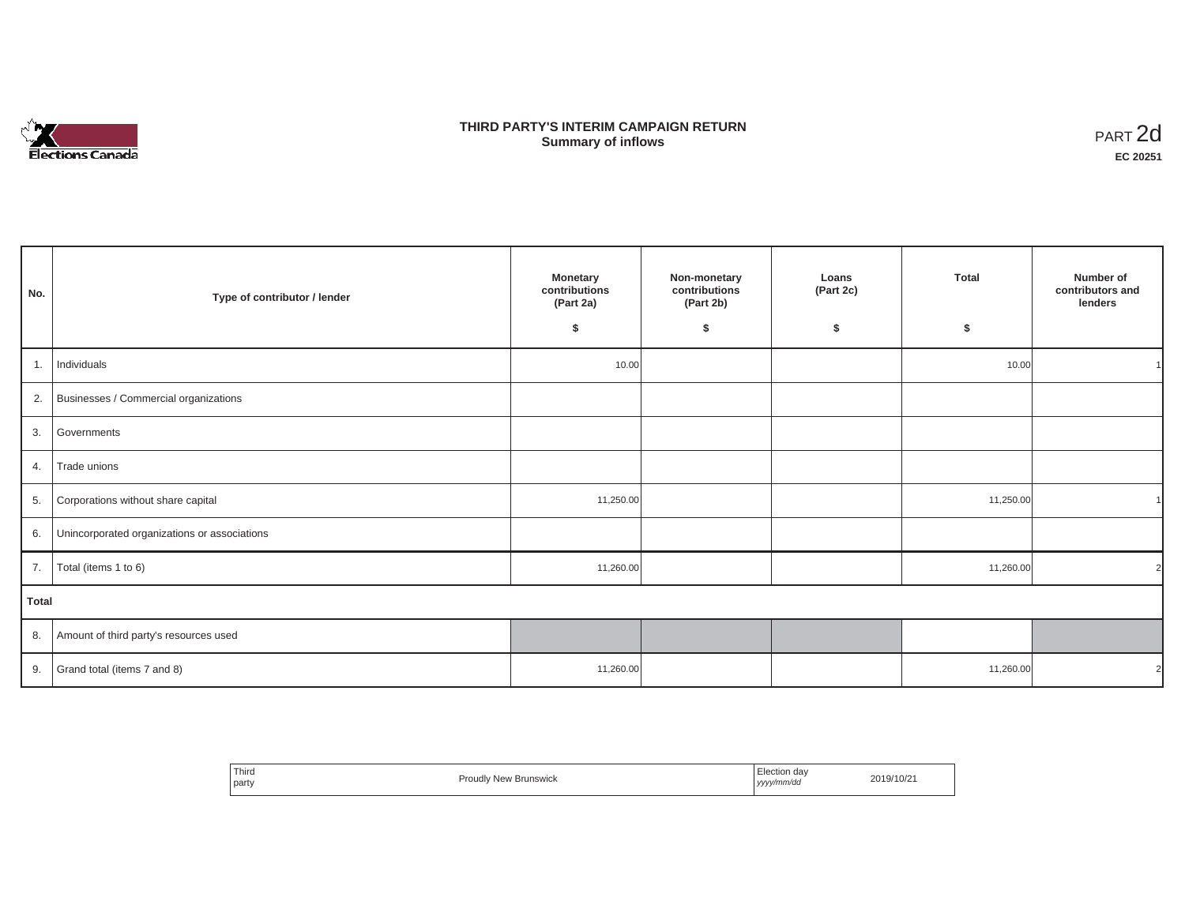

## **THIRD PARTY'S INTERIM CAMPAIGN RETURN SUMMARY STATE SUMMARY OF A SUMMARY OF A SUMMARY OF A SUMMARY OF A SUMMARY OF A SUMMARY OF A SUMMARY OF A SUMMA**<br> **Summary of inflows**

| No.   | Type of contributor / lender                    | <b>Monetary</b><br>contributions<br>(Part 2a)<br>\$ | Non-monetary<br>contributions<br>(Part 2b)<br>\$ | Loans<br>(Part 2c)<br>\$ | <b>Total</b><br>\$ | Number of<br>contributors and<br>lenders |
|-------|-------------------------------------------------|-----------------------------------------------------|--------------------------------------------------|--------------------------|--------------------|------------------------------------------|
| 1.    | Individuals                                     | 10.00                                               |                                                  |                          | 10.00              |                                          |
|       | 2. Businesses / Commercial organizations        |                                                     |                                                  |                          |                    |                                          |
|       | 3. Governments                                  |                                                     |                                                  |                          |                    |                                          |
| 4.    | Trade unions                                    |                                                     |                                                  |                          |                    |                                          |
| 5.    | Corporations without share capital              | 11,250.00                                           |                                                  |                          | 11,250.00          |                                          |
|       | 6. Unincorporated organizations or associations |                                                     |                                                  |                          |                    |                                          |
| 7.    | Total (items 1 to 6)                            | 11,260.00                                           |                                                  |                          | 11,260.00          | $\overline{2}$                           |
| Total |                                                 |                                                     |                                                  |                          |                    |                                          |
|       | 8. Amount of third party's resources used       |                                                     |                                                  |                          |                    |                                          |
|       | 9. Grand total (items $7$ and $8$ )             | 11,260.00                                           |                                                  |                          | 11,260.00          | 2                                        |

| Third<br>party | ≀ New Brunswick<br>Proudly | Election da∖<br>yyyy/mm/dd | 2019/10/21 |
|----------------|----------------------------|----------------------------|------------|
|----------------|----------------------------|----------------------------|------------|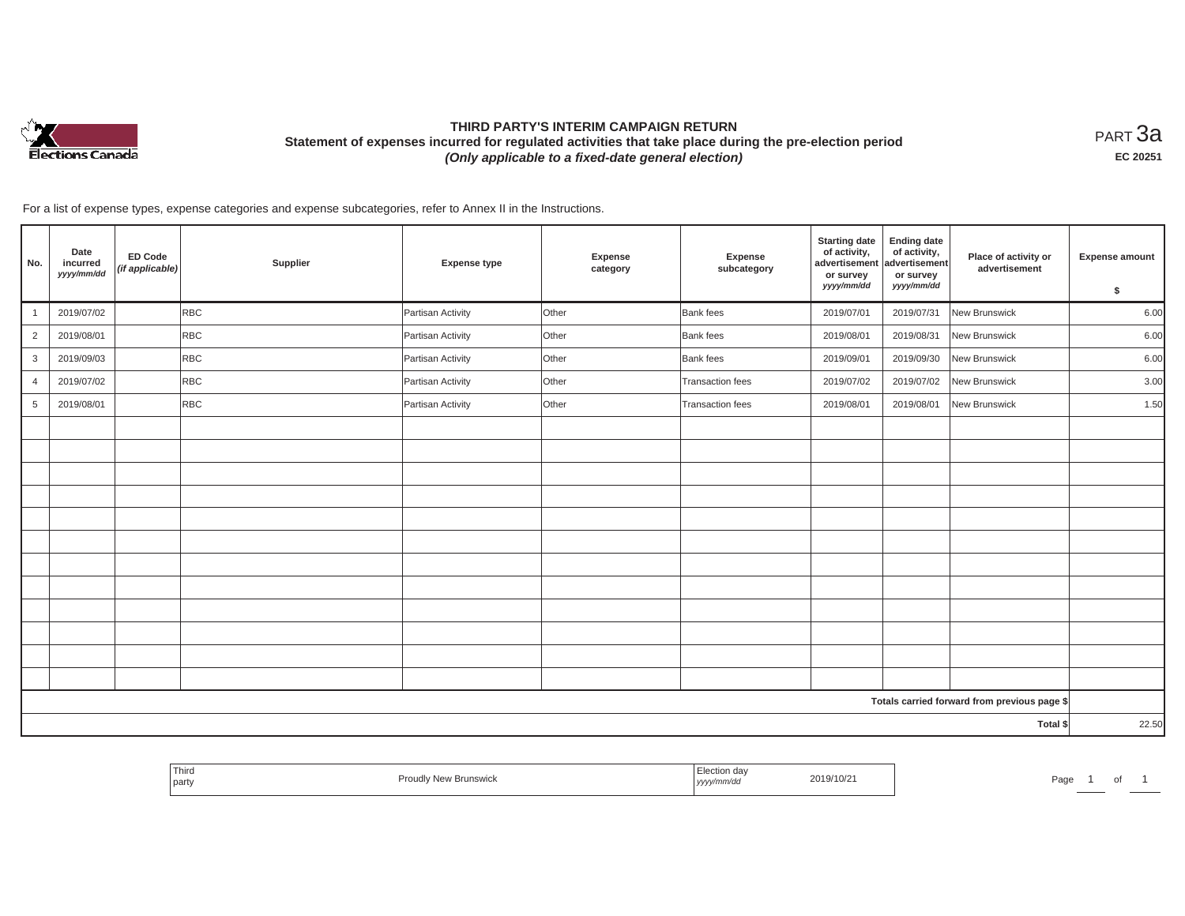

# **THIRD PARTY'S INTERIM CAMPAIGN RETURN Statement of expenses incurred for regulated activities that take place during the pre-election period**  *(Only applicable to a fixed-date general election)*

<code>PART $3$ a</code> **EC 20251**

For a list of expense types, expense categories and expense subcategories, refer to Annex II in the Instructions.

| No.             | Date<br>incurred<br>yyyy/mm/dd | ED Code<br>(if applicable) | Supplier   | <b>Expense type</b> | <b>Expense</b><br>category | Expense<br>subcategory | <b>Starting date</b><br>of activity,<br>advertisement<br>or survey<br>yyyy/mm/dd | <b>Ending date</b><br>of activity,<br>advertisement<br>or survey<br>yyyy/mm/dd | Place of activity or<br>advertisement        | Expense amount<br>$\sqrt{2}$ |
|-----------------|--------------------------------|----------------------------|------------|---------------------|----------------------------|------------------------|----------------------------------------------------------------------------------|--------------------------------------------------------------------------------|----------------------------------------------|------------------------------|
| $\overline{1}$  | 2019/07/02                     |                            | <b>RBC</b> | Partisan Activity   | Other                      | <b>Bank</b> fees       | 2019/07/01                                                                       | 2019/07/31                                                                     | New Brunswick                                | 6.00                         |
| $\overline{2}$  | 2019/08/01                     |                            | <b>RBC</b> | Partisan Activity   | Other                      | <b>Bank</b> fees       | 2019/08/01                                                                       | 2019/08/31                                                                     | New Brunswick                                | 6.00                         |
| 3               | 2019/09/03                     |                            | <b>RBC</b> | Partisan Activity   | Other                      | Bank fees              | 2019/09/01                                                                       | 2019/09/30                                                                     | New Brunswick                                | 6.00                         |
| $\overline{4}$  | 2019/07/02                     |                            | RBC        | Partisan Activity   | Other                      | Transaction fees       | 2019/07/02                                                                       | 2019/07/02                                                                     | New Brunswick                                | 3.00                         |
| $5\overline{5}$ | 2019/08/01                     |                            | <b>RBC</b> | Partisan Activity   | Other                      | Transaction fees       | 2019/08/01                                                                       | 2019/08/01                                                                     | New Brunswick                                | 1.50                         |
|                 |                                |                            |            |                     |                            |                        |                                                                                  |                                                                                |                                              |                              |
|                 |                                |                            |            |                     |                            |                        |                                                                                  |                                                                                |                                              |                              |
|                 |                                |                            |            |                     |                            |                        |                                                                                  |                                                                                |                                              |                              |
|                 |                                |                            |            |                     |                            |                        |                                                                                  |                                                                                |                                              |                              |
|                 |                                |                            |            |                     |                            |                        |                                                                                  |                                                                                |                                              |                              |
|                 |                                |                            |            |                     |                            |                        |                                                                                  |                                                                                |                                              |                              |
|                 |                                |                            |            |                     |                            |                        |                                                                                  |                                                                                |                                              |                              |
|                 |                                |                            |            |                     |                            |                        |                                                                                  |                                                                                |                                              |                              |
|                 |                                |                            |            |                     |                            |                        |                                                                                  |                                                                                |                                              |                              |
|                 |                                |                            |            |                     |                            |                        |                                                                                  |                                                                                |                                              |                              |
|                 |                                |                            |            |                     |                            |                        |                                                                                  |                                                                                |                                              |                              |
|                 |                                |                            |            |                     |                            |                        |                                                                                  |                                                                                |                                              |                              |
|                 |                                |                            |            |                     |                            |                        |                                                                                  |                                                                                | Totals carried forward from previous page \$ |                              |
|                 |                                |                            |            |                     |                            |                        |                                                                                  |                                                                                | Total \$                                     | 22.50                        |

| i nira<br>part | ᢇ<br>ייייי DIUIISWIU | , yyyyıı | 2019/10/21 | ⊐∽∼<br>-aa∈ |  |
|----------------|----------------------|----------|------------|-------------|--|
|                |                      |          |            |             |  |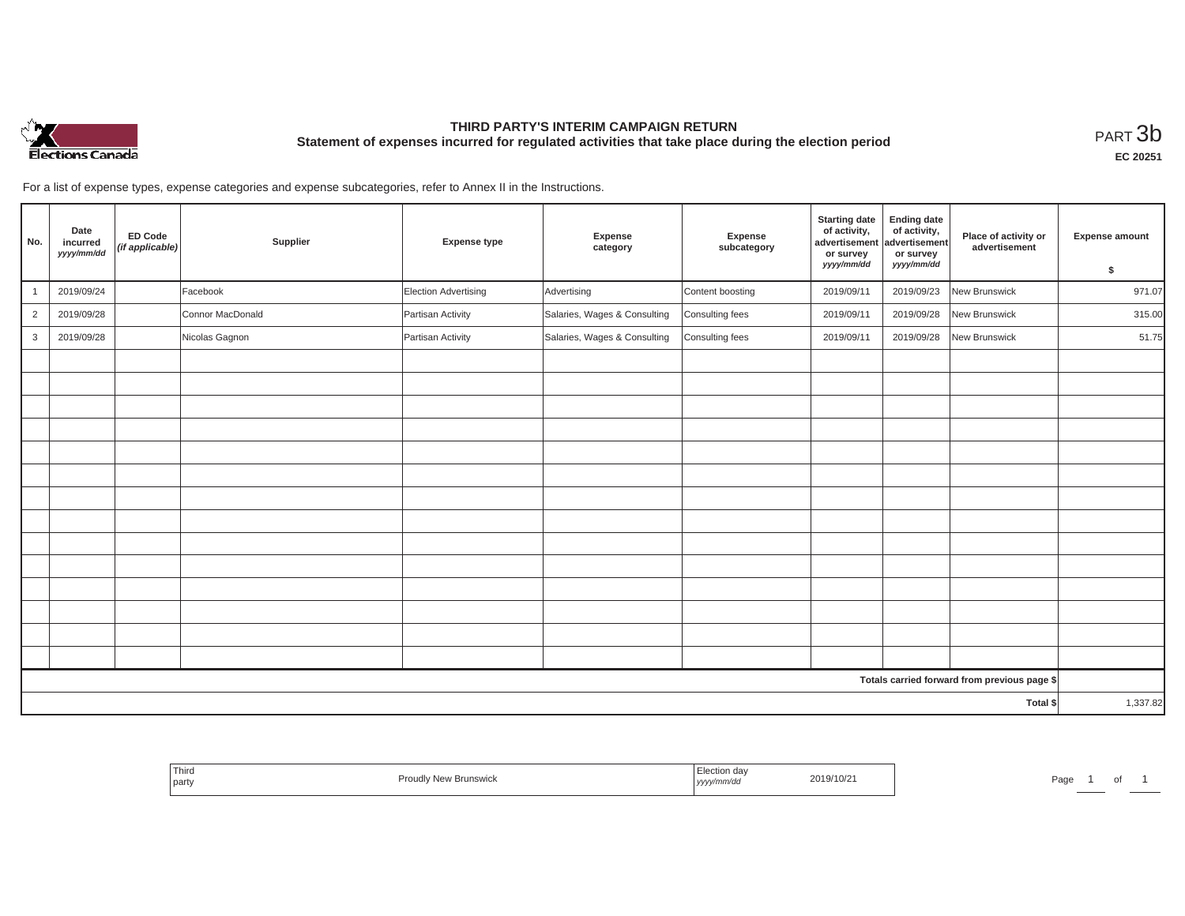

# **THIRD PARTY'S INTERIM CAMPAIGN RETURN Statement of expenses incurred for regulated activities that take place during the election period**<br>РАRТ  $3\mathrm{b}$

**EC 20251**

For a list of expense types, expense categories and expense subcategories, refer to Annex II in the Instructions.

| No.            | Date<br>incurred<br>yyyy/mm/dd | <b>ED Code</b><br>(if applicable) | Supplier         | <b>Expense type</b>  | Expense<br>category          | Expense<br>subcategory | <b>Starting date</b><br>of activity,<br>advertisement<br>or survey<br>yyyy/mm/dd | <b>Ending date</b><br>of activity,<br>advertisement<br>or survey<br>yyyy/mm/dd | Place of activity or<br>advertisement        | Expense amount |
|----------------|--------------------------------|-----------------------------------|------------------|----------------------|------------------------------|------------------------|----------------------------------------------------------------------------------|--------------------------------------------------------------------------------|----------------------------------------------|----------------|
|                |                                |                                   |                  |                      |                              |                        |                                                                                  |                                                                                |                                              | \$             |
|                | 2019/09/24                     |                                   | Facebook         | Election Advertising | Advertising                  | Content boosting       | 2019/09/11                                                                       | 2019/09/23                                                                     | New Brunswick                                | 971.07         |
| $\overline{2}$ | 2019/09/28                     |                                   | Connor MacDonald | Partisan Activity    | Salaries, Wages & Consulting | Consulting fees        | 2019/09/11                                                                       | 2019/09/28                                                                     | New Brunswick                                | 315.00         |
| 3              | 2019/09/28                     |                                   | Nicolas Gagnon   | Partisan Activity    | Salaries, Wages & Consulting | Consulting fees        | 2019/09/11                                                                       | 2019/09/28                                                                     | New Brunswick                                | 51.75          |
|                |                                |                                   |                  |                      |                              |                        |                                                                                  |                                                                                |                                              |                |
|                |                                |                                   |                  |                      |                              |                        |                                                                                  |                                                                                |                                              |                |
|                |                                |                                   |                  |                      |                              |                        |                                                                                  |                                                                                |                                              |                |
|                |                                |                                   |                  |                      |                              |                        |                                                                                  |                                                                                |                                              |                |
|                |                                |                                   |                  |                      |                              |                        |                                                                                  |                                                                                |                                              |                |
|                |                                |                                   |                  |                      |                              |                        |                                                                                  |                                                                                |                                              |                |
|                |                                |                                   |                  |                      |                              |                        |                                                                                  |                                                                                |                                              |                |
|                |                                |                                   |                  |                      |                              |                        |                                                                                  |                                                                                |                                              |                |
|                |                                |                                   |                  |                      |                              |                        |                                                                                  |                                                                                |                                              |                |
|                |                                |                                   |                  |                      |                              |                        |                                                                                  |                                                                                |                                              |                |
|                |                                |                                   |                  |                      |                              |                        |                                                                                  |                                                                                |                                              |                |
|                |                                |                                   |                  |                      |                              |                        |                                                                                  |                                                                                |                                              |                |
|                |                                |                                   |                  |                      |                              |                        |                                                                                  |                                                                                |                                              |                |
|                |                                |                                   |                  |                      |                              |                        |                                                                                  |                                                                                |                                              |                |
|                |                                |                                   |                  |                      |                              |                        |                                                                                  |                                                                                | Totals carried forward from previous page \$ |                |
| Total \$       |                                |                                   |                  |                      |                              |                        | 1,337.82                                                                         |                                                                                |                                              |                |

| <sup>1</sup> Third<br><b>Brunswick</b><br>$\sim$<br>יוטשו<br>party | "ection √<br>2019/10/2 <sup>.</sup><br>nmra<br>,,,,, | Pag |
|--------------------------------------------------------------------|------------------------------------------------------|-----|
|--------------------------------------------------------------------|------------------------------------------------------|-----|